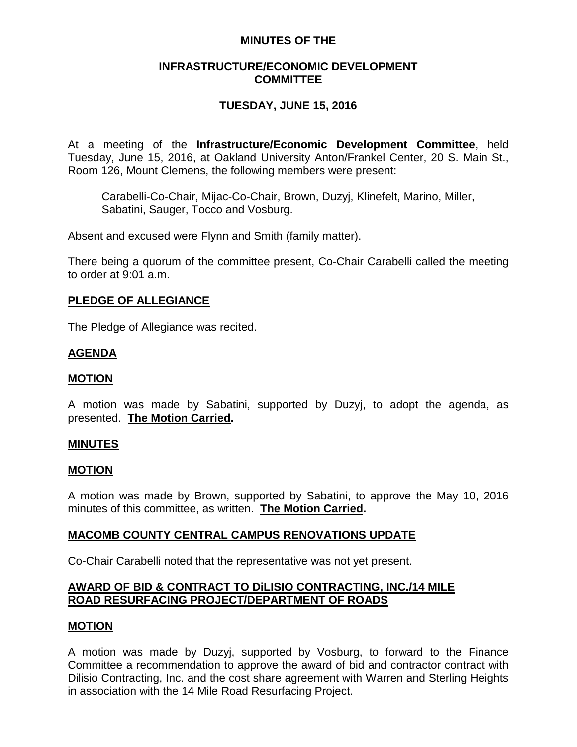## **MINUTES OF THE**

## **INFRASTRUCTURE/ECONOMIC DEVELOPMENT COMMITTEE**

# **TUESDAY, JUNE 15, 2016**

At a meeting of the **Infrastructure/Economic Development Committee**, held Tuesday, June 15, 2016, at Oakland University Anton/Frankel Center, 20 S. Main St., Room 126, Mount Clemens, the following members were present:

Carabelli-Co-Chair, Mijac-Co-Chair, Brown, Duzyj, Klinefelt, Marino, Miller, Sabatini, Sauger, Tocco and Vosburg.

Absent and excused were Flynn and Smith (family matter).

There being a quorum of the committee present, Co-Chair Carabelli called the meeting to order at 9:01 a.m.

## **PLEDGE OF ALLEGIANCE**

The Pledge of Allegiance was recited.

## **AGENDA**

### **MOTION**

A motion was made by Sabatini, supported by Duzyj, to adopt the agenda, as presented. **The Motion Carried.**

### **MINUTES**

#### **MOTION**

A motion was made by Brown, supported by Sabatini, to approve the May 10, 2016 minutes of this committee, as written. **The Motion Carried.**

### **MACOMB COUNTY CENTRAL CAMPUS RENOVATIONS UPDATE**

Co-Chair Carabelli noted that the representative was not yet present.

# **AWARD OF BID & CONTRACT TO DiLISIO CONTRACTING, INC./14 MILE ROAD RESURFACING PROJECT/DEPARTMENT OF ROADS**

### **MOTION**

A motion was made by Duzyj, supported by Vosburg, to forward to the Finance Committee a recommendation to approve the award of bid and contractor contract with Dilisio Contracting, Inc. and the cost share agreement with Warren and Sterling Heights in association with the 14 Mile Road Resurfacing Project.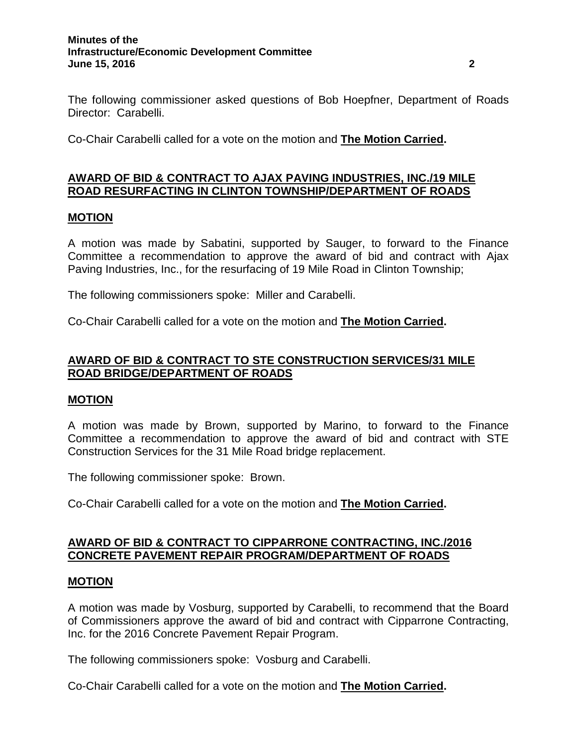#### **Minutes of the Infrastructure/Economic Development Committee June 15, 2016 2**

The following commissioner asked questions of Bob Hoepfner, Department of Roads Director: Carabelli.

Co-Chair Carabelli called for a vote on the motion and **The Motion Carried.**

# **AWARD OF BID & CONTRACT TO AJAX PAVING INDUSTRIES, INC./19 MILE ROAD RESURFACTING IN CLINTON TOWNSHIP/DEPARTMENT OF ROADS**

### **MOTION**

A motion was made by Sabatini, supported by Sauger, to forward to the Finance Committee a recommendation to approve the award of bid and contract with Ajax Paving Industries, Inc., for the resurfacing of 19 Mile Road in Clinton Township;

The following commissioners spoke: Miller and Carabelli.

Co-Chair Carabelli called for a vote on the motion and **The Motion Carried.**

## **AWARD OF BID & CONTRACT TO STE CONSTRUCTION SERVICES/31 MILE ROAD BRIDGE/DEPARTMENT OF ROADS**

### **MOTION**

A motion was made by Brown, supported by Marino, to forward to the Finance Committee a recommendation to approve the award of bid and contract with STE Construction Services for the 31 Mile Road bridge replacement.

The following commissioner spoke: Brown.

Co-Chair Carabelli called for a vote on the motion and **The Motion Carried.**

## **AWARD OF BID & CONTRACT TO CIPPARRONE CONTRACTING, INC./2016 CONCRETE PAVEMENT REPAIR PROGRAM/DEPARTMENT OF ROADS**

### **MOTION**

A motion was made by Vosburg, supported by Carabelli, to recommend that the Board of Commissioners approve the award of bid and contract with Cipparrone Contracting, Inc. for the 2016 Concrete Pavement Repair Program.

The following commissioners spoke: Vosburg and Carabelli.

Co-Chair Carabelli called for a vote on the motion and **The Motion Carried.**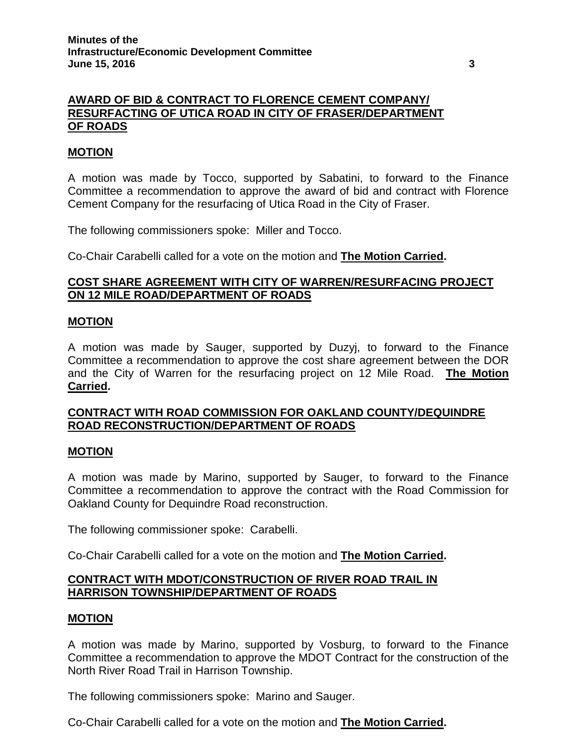# **AWARD OF BID & CONTRACT TO FLORENCE CEMENT COMPANY/ RESURFACTING OF UTICA ROAD IN CITY OF FRASER/DEPARTMENT OF ROADS**

## **MOTION**

A motion was made by Tocco, supported by Sabatini, to forward to the Finance Committee a recommendation to approve the award of bid and contract with Florence Cement Company for the resurfacing of Utica Road in the City of Fraser.

The following commissioners spoke: Miller and Tocco.

Co-Chair Carabelli called for a vote on the motion and **The Motion Carried.**

## **COST SHARE AGREEMENT WITH CITY OF WARREN/RESURFACING PROJECT ON 12 MILE ROAD/DEPARTMENT OF ROADS**

#### **MOTION**

A motion was made by Sauger, supported by Duzyj, to forward to the Finance Committee a recommendation to approve the cost share agreement between the DOR and the City of Warren for the resurfacing project on 12 Mile Road. **The Motion Carried.**

## **CONTRACT WITH ROAD COMMISSION FOR OAKLAND COUNTY/DEQUINDRE ROAD RECONSTRUCTION/DEPARTMENT OF ROADS**

#### **MOTION**

A motion was made by Marino, supported by Sauger, to forward to the Finance Committee a recommendation to approve the contract with the Road Commission for Oakland County for Dequindre Road reconstruction.

The following commissioner spoke: Carabelli.

Co-Chair Carabelli called for a vote on the motion and **The Motion Carried.**

## **CONTRACT WITH MDOT/CONSTRUCTION OF RIVER ROAD TRAIL IN HARRISON TOWNSHIP/DEPARTMENT OF ROADS**

### **MOTION**

A motion was made by Marino, supported by Vosburg, to forward to the Finance Committee a recommendation to approve the MDOT Contract for the construction of the North River Road Trail in Harrison Township.

The following commissioners spoke: Marino and Sauger.

Co-Chair Carabelli called for a vote on the motion and **The Motion Carried.**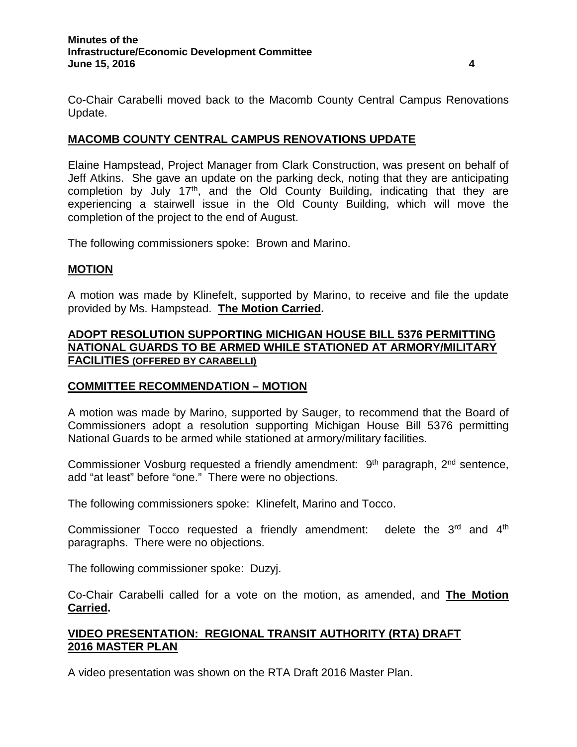Co-Chair Carabelli moved back to the Macomb County Central Campus Renovations Update.

## **MACOMB COUNTY CENTRAL CAMPUS RENOVATIONS UPDATE**

Elaine Hampstead, Project Manager from Clark Construction, was present on behalf of Jeff Atkins. She gave an update on the parking deck, noting that they are anticipating completion by July  $17<sup>th</sup>$ , and the Old County Building, indicating that they are experiencing a stairwell issue in the Old County Building, which will move the completion of the project to the end of August.

The following commissioners spoke: Brown and Marino.

### **MOTION**

A motion was made by Klinefelt, supported by Marino, to receive and file the update provided by Ms. Hampstead. **The Motion Carried.**

# **ADOPT RESOLUTION SUPPORTING MICHIGAN HOUSE BILL 5376 PERMITTING NATIONAL GUARDS TO BE ARMED WHILE STATIONED AT ARMORY/MILITARY FACILITIES (OFFERED BY CARABELLI)**

### **COMMITTEE RECOMMENDATION – MOTION**

A motion was made by Marino, supported by Sauger, to recommend that the Board of Commissioners adopt a resolution supporting Michigan House Bill 5376 permitting National Guards to be armed while stationed at armory/military facilities.

Commissioner Vosburg requested a friendly amendment: 9<sup>th</sup> paragraph, 2<sup>nd</sup> sentence, add "at least" before "one." There were no objections.

The following commissioners spoke: Klinefelt, Marino and Tocco.

Commissioner Tocco requested a friendly amendment: delete the 3<sup>rd</sup> and 4<sup>th</sup> paragraphs. There were no objections.

The following commissioner spoke: Duzyj.

Co-Chair Carabelli called for a vote on the motion, as amended, and **The Motion Carried.**

# **VIDEO PRESENTATION: REGIONAL TRANSIT AUTHORITY (RTA) DRAFT 2016 MASTER PLAN**

A video presentation was shown on the RTA Draft 2016 Master Plan.